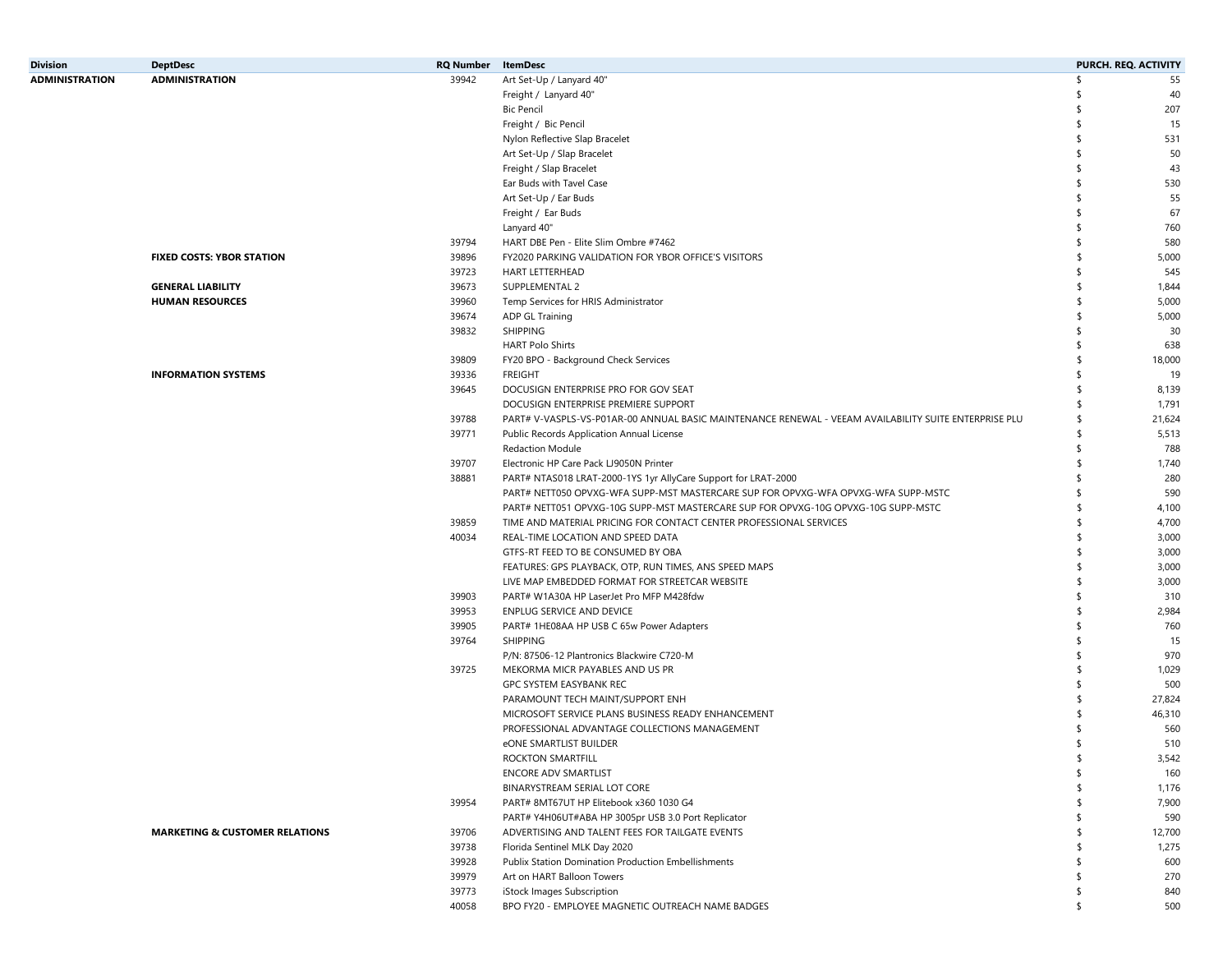| <b>Division</b>       | <b>DeptDesc</b>                           | <b>RQ Number</b> | <b>ItemDesc</b>                                                                                       |     | PURCH. REQ. ACTIVITY |
|-----------------------|-------------------------------------------|------------------|-------------------------------------------------------------------------------------------------------|-----|----------------------|
| <b>ADMINISTRATION</b> | <b>ADMINISTRATION</b>                     | 39942            | Art Set-Up / Lanyard 40"                                                                              | \$  | 55                   |
|                       |                                           |                  | Freight / Lanyard 40"                                                                                 |     | 40                   |
|                       |                                           |                  | <b>Bic Pencil</b>                                                                                     |     | 207                  |
|                       |                                           |                  | Freight / Bic Pencil                                                                                  | \$  | 15                   |
|                       |                                           |                  | Nylon Reflective Slap Bracelet                                                                        |     | 531                  |
|                       |                                           |                  | Art Set-Up / Slap Bracelet                                                                            | \$  | 50                   |
|                       |                                           |                  | Freight / Slap Bracelet                                                                               |     | 43                   |
|                       |                                           |                  | Ear Buds with Tavel Case                                                                              | ۹Ś  | 530                  |
|                       |                                           |                  | Art Set-Up / Ear Buds                                                                                 |     | 55                   |
|                       |                                           |                  | Freight / Ear Buds                                                                                    |     | 67                   |
|                       |                                           |                  |                                                                                                       |     |                      |
|                       |                                           |                  | Lanyard 40"                                                                                           |     | 760                  |
|                       |                                           | 39794            | HART DBE Pen - Elite Slim Ombre #7462                                                                 |     | 580                  |
|                       | <b>FIXED COSTS: YBOR STATION</b>          | 39896            | FY2020 PARKING VALIDATION FOR YBOR OFFICE'S VISITORS                                                  | \$  | 5,000                |
|                       |                                           | 39723            | <b>HART LETTERHEAD</b>                                                                                | \$  | 545                  |
|                       | <b>GENERAL LIABILITY</b>                  | 39673            | SUPPLEMENTAL 2                                                                                        | \$  | 1,844                |
|                       | <b>HUMAN RESOURCES</b>                    | 39960            | Temp Services for HRIS Administrator                                                                  | \$  | 5,000                |
|                       |                                           | 39674            | ADP GL Training                                                                                       | \$  | 5,000                |
|                       |                                           | 39832            | <b>SHIPPING</b>                                                                                       | \$  | 30                   |
|                       |                                           |                  | <b>HART Polo Shirts</b>                                                                               | \$  | 638                  |
|                       |                                           | 39809            | FY20 BPO - Background Check Services                                                                  | \$  | 18,000               |
|                       | <b>INFORMATION SYSTEMS</b>                | 39336            | <b>FREIGHT</b>                                                                                        |     | 19                   |
|                       |                                           | 39645            | DOCUSIGN ENTERPRISE PRO FOR GOV SEAT                                                                  |     | 8,139                |
|                       |                                           |                  | DOCUSIGN ENTERPRISE PREMIERE SUPPORT                                                                  | \$  | 1,791                |
|                       |                                           | 39788            | PART# V-VASPLS-VS-P01AR-00 ANNUAL BASIC MAINTENANCE RENEWAL - VEEAM AVAILABILITY SUITE ENTERPRISE PLU | \$  | 21,624               |
|                       |                                           | 39771            | Public Records Application Annual License                                                             | \$  | 5,513                |
|                       |                                           |                  | <b>Redaction Module</b>                                                                               | \$  | 788                  |
|                       |                                           | 39707            | Electronic HP Care Pack LJ9050N Printer                                                               | \$  | 1,740                |
|                       |                                           | 38881            | PART# NTAS018 LRAT-2000-1YS 1yr AllyCare Support for LRAT-2000                                        |     | 280                  |
|                       |                                           |                  | PART# NETT050 OPVXG-WFA SUPP-MST MASTERCARE SUP FOR OPVXG-WFA OPVXG-WFA SUPP-MSTC                     |     | 590                  |
|                       |                                           |                  | PART# NETT051 OPVXG-10G SUPP-MST MASTERCARE SUP FOR OPVXG-10G OPVXG-10G SUPP-MSTC                     | \$  | 4,100                |
|                       |                                           | 39859            | TIME AND MATERIAL PRICING FOR CONTACT CENTER PROFESSIONAL SERVICES                                    | \$  | 4,700                |
|                       |                                           | 40034            | REAL-TIME LOCATION AND SPEED DATA                                                                     | \$  | 3,000                |
|                       |                                           |                  | GTFS-RT FEED TO BE CONSUMED BY OBA                                                                    | \$  | 3,000                |
|                       |                                           |                  | FEATURES: GPS PLAYBACK, OTP, RUN TIMES, ANS SPEED MAPS                                                | \$  | 3,000                |
|                       |                                           |                  | LIVE MAP EMBEDDED FORMAT FOR STREETCAR WEBSITE                                                        | \$  | 3,000                |
|                       |                                           |                  |                                                                                                       | \$  |                      |
|                       |                                           | 39903            | PART# W1A30A HP LaserJet Pro MFP M428fdw                                                              | \$  | 310                  |
|                       |                                           | 39953            | ENPLUG SERVICE AND DEVICE                                                                             |     | 2,984                |
|                       |                                           | 39905            | PART# 1HE08AA HP USB C 65w Power Adapters                                                             | \$  | 760                  |
|                       |                                           | 39764            | <b>SHIPPING</b>                                                                                       | \$  | 15                   |
|                       |                                           |                  | P/N: 87506-12 Plantronics Blackwire C720-M                                                            |     | 970                  |
|                       |                                           | 39725            | MEKORMA MICR PAYABLES AND US PR                                                                       | \$  | 1,029                |
|                       |                                           |                  | GPC SYSTEM EASYBANK REC                                                                               | \$  | 500                  |
|                       |                                           |                  | PARAMOUNT TECH MAINT/SUPPORT ENH                                                                      | \$  | 27,824               |
|                       |                                           |                  | MICROSOFT SERVICE PLANS BUSINESS READY ENHANCEMENT                                                    | \$  | 46,310               |
|                       |                                           |                  | PROFESSIONAL ADVANTAGE COLLECTIONS MANAGEMENT                                                         |     | 560                  |
|                       |                                           |                  | eONE SMARTLIST BUILDER                                                                                |     | 510                  |
|                       |                                           |                  | ROCKTON SMARTFILL                                                                                     |     | 3,542                |
|                       |                                           |                  | <b>ENCORE ADV SMARTLIST</b>                                                                           | \$  | 160                  |
|                       |                                           |                  | BINARYSTREAM SERIAL LOT CORE                                                                          | \$  | 1,176                |
|                       |                                           | 39954            | PART# 8MT67UT HP Elitebook x360 1030 G4                                                               | \$  | 7,900                |
|                       |                                           |                  | PART# Y4H06UT#ABA HP 3005pr USB 3.0 Port Replicator                                                   | \$  | 590                  |
|                       | <b>MARKETING &amp; CUSTOMER RELATIONS</b> | 39706            | ADVERTISING AND TALENT FEES FOR TAILGATE EVENTS                                                       | \$  | 12,700               |
|                       |                                           | 39738            | Florida Sentinel MLK Day 2020                                                                         |     | 1,275                |
|                       |                                           | 39928            | Publix Station Domination Production Embellishments                                                   | \$  | 600                  |
|                       |                                           | 39979            | Art on HART Balloon Towers                                                                            | -\$ | 270                  |
|                       |                                           | 39773            | iStock Images Subscription                                                                            | \$  | 840                  |
|                       |                                           | 40058            | BPO FY20 - EMPLOYEE MAGNETIC OUTREACH NAME BADGES                                                     | \$  | 500                  |
|                       |                                           |                  |                                                                                                       |     |                      |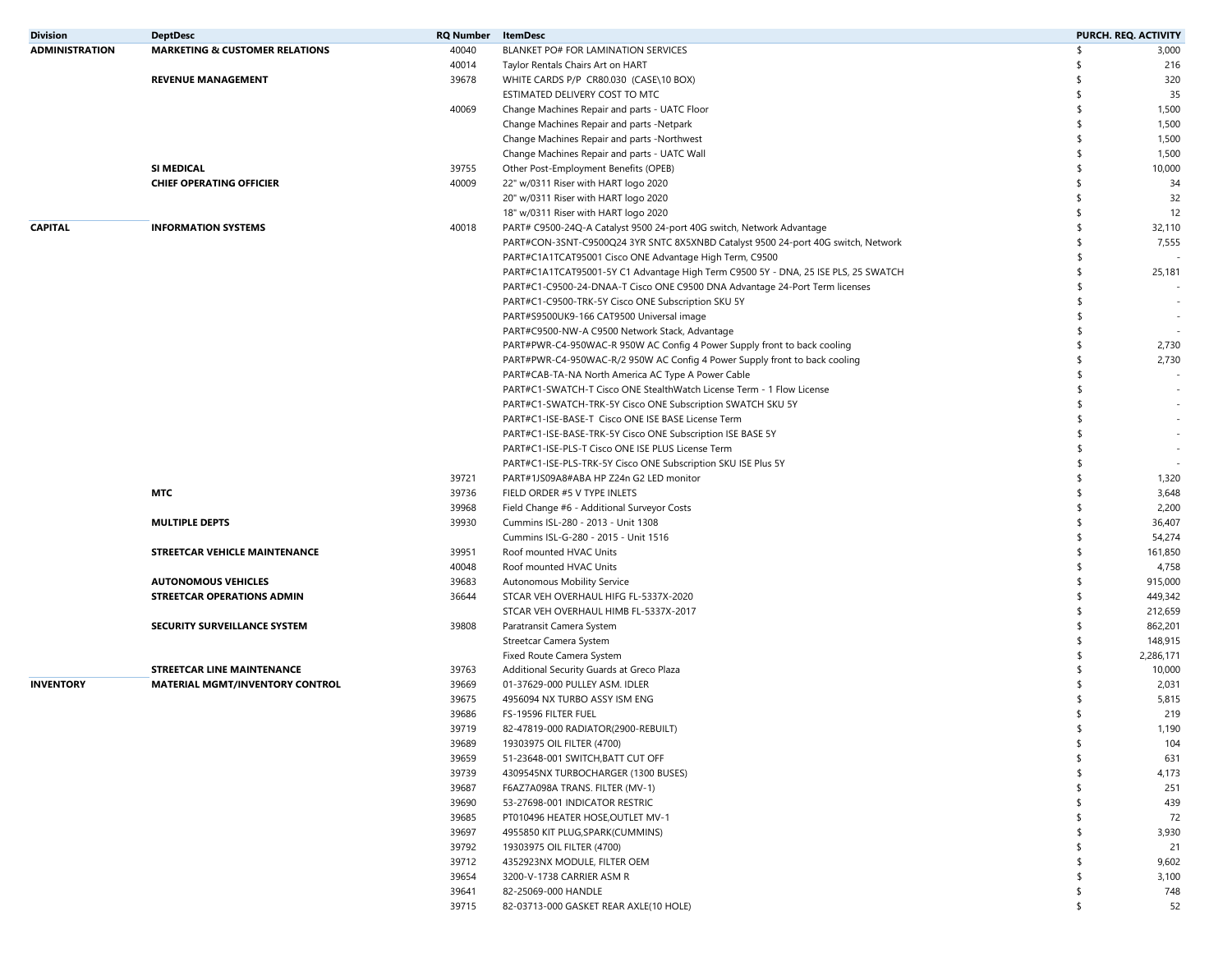| <b>Division</b>       | <b>DeptDesc</b>                           | <b>RQ Number</b> | <b>ItemDesc</b>                                                                    |     | PURCH. REQ. ACTIVITY     |
|-----------------------|-------------------------------------------|------------------|------------------------------------------------------------------------------------|-----|--------------------------|
| <b>ADMINISTRATION</b> | <b>MARKETING &amp; CUSTOMER RELATIONS</b> | 40040            | BLANKET PO# FOR LAMINATION SERVICES                                                | \$  | 3,000                    |
|                       |                                           | 40014            | Taylor Rentals Chairs Art on HART                                                  | \$  | 216                      |
|                       | <b>REVENUE MANAGEMENT</b>                 | 39678            | WHITE CARDS P/P CR80.030 (CASE\10 BOX)                                             | \$  | 320                      |
|                       |                                           |                  | ESTIMATED DELIVERY COST TO MTC                                                     | \$  | 35                       |
|                       |                                           | 40069            | Change Machines Repair and parts - UATC Floor                                      | \$  | 1,500                    |
|                       |                                           |                  | Change Machines Repair and parts -Netpark                                          | \$  | 1,500                    |
|                       |                                           |                  | Change Machines Repair and parts -Northwest                                        | \$  | 1,500                    |
|                       |                                           |                  | Change Machines Repair and parts - UATC Wall                                       | \$  | 1,500                    |
|                       | SI MEDICAL                                | 39755            | Other Post-Employment Benefits (OPEB)                                              | \$  | 10,000                   |
|                       | <b>CHIEF OPERATING OFFICIER</b>           | 40009            | 22" w/0311 Riser with HART logo 2020                                               | \$  | 34                       |
|                       |                                           |                  |                                                                                    | \$  |                          |
|                       |                                           |                  | 20" w/0311 Riser with HART logo 2020                                               |     | 32                       |
|                       |                                           |                  | 18" w/0311 Riser with HART logo 2020                                               | \$  | 12                       |
| <b>CAPITAL</b>        | <b>INFORMATION SYSTEMS</b>                | 40018            | PART# C9500-24Q-A Catalyst 9500 24-port 40G switch, Network Advantage              | \$  | 32,110                   |
|                       |                                           |                  | PART#CON-3SNT-C9500Q24 3YR SNTC 8X5XNBD Catalyst 9500 24-port 40G switch, Network  | -\$ | 7,555                    |
|                       |                                           |                  | PART#C1A1TCAT95001 Cisco ONE Advantage High Term, C9500                            | \$  |                          |
|                       |                                           |                  | PART#C1A1TCAT95001-5Y C1 Advantage High Term C9500 5Y - DNA, 25 ISE PLS, 25 SWATCH | \$  | 25,181                   |
|                       |                                           |                  | PART#C1-C9500-24-DNAA-T Cisco ONE C9500 DNA Advantage 24-Port Term licenses        | \$  |                          |
|                       |                                           |                  | PART#C1-C9500-TRK-5Y Cisco ONE Subscription SKU 5Y                                 | \$  |                          |
|                       |                                           |                  | PART#S9500UK9-166 CAT9500 Universal image                                          |     |                          |
|                       |                                           |                  | PART#C9500-NW-A C9500 Network Stack, Advantage                                     | \$  |                          |
|                       |                                           |                  | PART#PWR-C4-950WAC-R 950W AC Config 4 Power Supply front to back cooling           | \$  | 2,730                    |
|                       |                                           |                  | PART#PWR-C4-950WAC-R/2 950W AC Config 4 Power Supply front to back cooling         | \$  | 2,730                    |
|                       |                                           |                  | PART#CAB-TA-NA North America AC Type A Power Cable                                 | \$  |                          |
|                       |                                           |                  | PART#C1-SWATCH-T Cisco ONE StealthWatch License Term - 1 Flow License              | \$  |                          |
|                       |                                           |                  | PART#C1-SWATCH-TRK-5Y Cisco ONE Subscription SWATCH SKU 5Y                         |     |                          |
|                       |                                           |                  | PART#C1-ISE-BASE-T Cisco ONE ISE BASE License Term                                 |     | $\overline{\phantom{a}}$ |
|                       |                                           |                  | PART#C1-ISE-BASE-TRK-5Y Cisco ONE Subscription ISE BASE 5Y                         |     |                          |
|                       |                                           |                  | PART#C1-ISE-PLS-T Cisco ONE ISE PLUS License Term                                  |     |                          |
|                       |                                           |                  | PART#C1-ISE-PLS-TRK-5Y Cisco ONE Subscription SKU ISE Plus 5Y                      | \$  |                          |
|                       |                                           | 39721            | PART#1JS09A8#ABA HP Z24n G2 LED monitor                                            | \$  | 1,320                    |
|                       | MTC                                       |                  |                                                                                    | \$  |                          |
|                       |                                           | 39736            | FIELD ORDER #5 V TYPE INLETS                                                       |     | 3,648                    |
|                       |                                           | 39968            | Field Change #6 - Additional Surveyor Costs                                        | \$  | 2,200                    |
|                       | <b>MULTIPLE DEPTS</b>                     | 39930            | Cummins ISL-280 - 2013 - Unit 1308                                                 | \$  | 36,407                   |
|                       |                                           |                  | Cummins ISL-G-280 - 2015 - Unit 1516                                               | \$  | 54,274                   |
|                       | STREETCAR VEHICLE MAINTENANCE             | 39951            | Roof mounted HVAC Units                                                            | \$  | 161,850                  |
|                       |                                           | 40048            | Roof mounted HVAC Units                                                            | \$  | 4,758                    |
|                       | <b>AUTONOMOUS VEHICLES</b>                | 39683            | Autonomous Mobility Service                                                        | \$  | 915,000                  |
|                       | STREETCAR OPERATIONS ADMIN                | 36644            | STCAR VEH OVERHAUL HIFG FL-5337X-2020                                              | \$  | 449,342                  |
|                       |                                           |                  | STCAR VEH OVERHAUL HIMB FL-5337X-2017                                              | \$  | 212,659                  |
|                       | <b>SECURITY SURVEILLANCE SYSTEM</b>       | 39808            | Paratransit Camera System                                                          | \$  | 862,201                  |
|                       |                                           |                  | Streetcar Camera System                                                            | \$  | 148,915                  |
|                       |                                           |                  | Fixed Route Camera System                                                          | \$  | 2,286,171                |
|                       | <b>STREETCAR LINE MAINTENANCE</b>         | 39763            | Additional Security Guards at Greco Plaza                                          | \$  | 10,000                   |
| <b>INVENTORY</b>      | <b>MATERIAL MGMT/INVENTORY CONTROL</b>    | 39669            | 01-37629-000 PULLEY ASM. IDLER                                                     | \$  | 2,031                    |
|                       |                                           | 39675            | 4956094 NX TURBO ASSY ISM ENG                                                      |     | 5,815                    |
|                       |                                           | 39686            | FS-19596 FILTER FUEL                                                               | \$  | 219                      |
|                       |                                           | 39719            | 82-47819-000 RADIATOR(2900-REBUILT)                                                |     | 1,190                    |
|                       |                                           | 39689            | 19303975 OIL FILTER (4700)                                                         | \$  | 104                      |
|                       |                                           | 39659            | 51-23648-001 SWITCH, BATT CUT OFF                                                  |     | 631                      |
|                       |                                           |                  |                                                                                    |     |                          |
|                       |                                           | 39739            | 4309545NX TURBOCHARGER (1300 BUSES)                                                |     | 4,173                    |
|                       |                                           | 39687            | F6AZ7A098A TRANS. FILTER (MV-1)                                                    |     | 251                      |
|                       |                                           | 39690            | 53-27698-001 INDICATOR RESTRIC                                                     |     | 439                      |
|                       |                                           | 39685            | PT010496 HEATER HOSE, OUTLET MV-1                                                  |     | 72                       |
|                       |                                           | 39697            | 4955850 KIT PLUG, SPARK (CUMMINS)                                                  |     | 3,930                    |
|                       |                                           | 39792            | 19303975 OIL FILTER (4700)                                                         |     | 21                       |
|                       |                                           | 39712            | 4352923NX MODULE, FILTER OEM                                                       | \$  | 9,602                    |
|                       |                                           | 39654            | 3200-V-1738 CARRIER ASM R                                                          | -S  | 3,100                    |
|                       |                                           | 39641            | 82-25069-000 HANDLE                                                                | \$  | 748                      |
|                       |                                           | 39715            | 82-03713-000 GASKET REAR AXLE(10 HOLE)                                             | \$  | 52                       |
|                       |                                           |                  |                                                                                    |     |                          |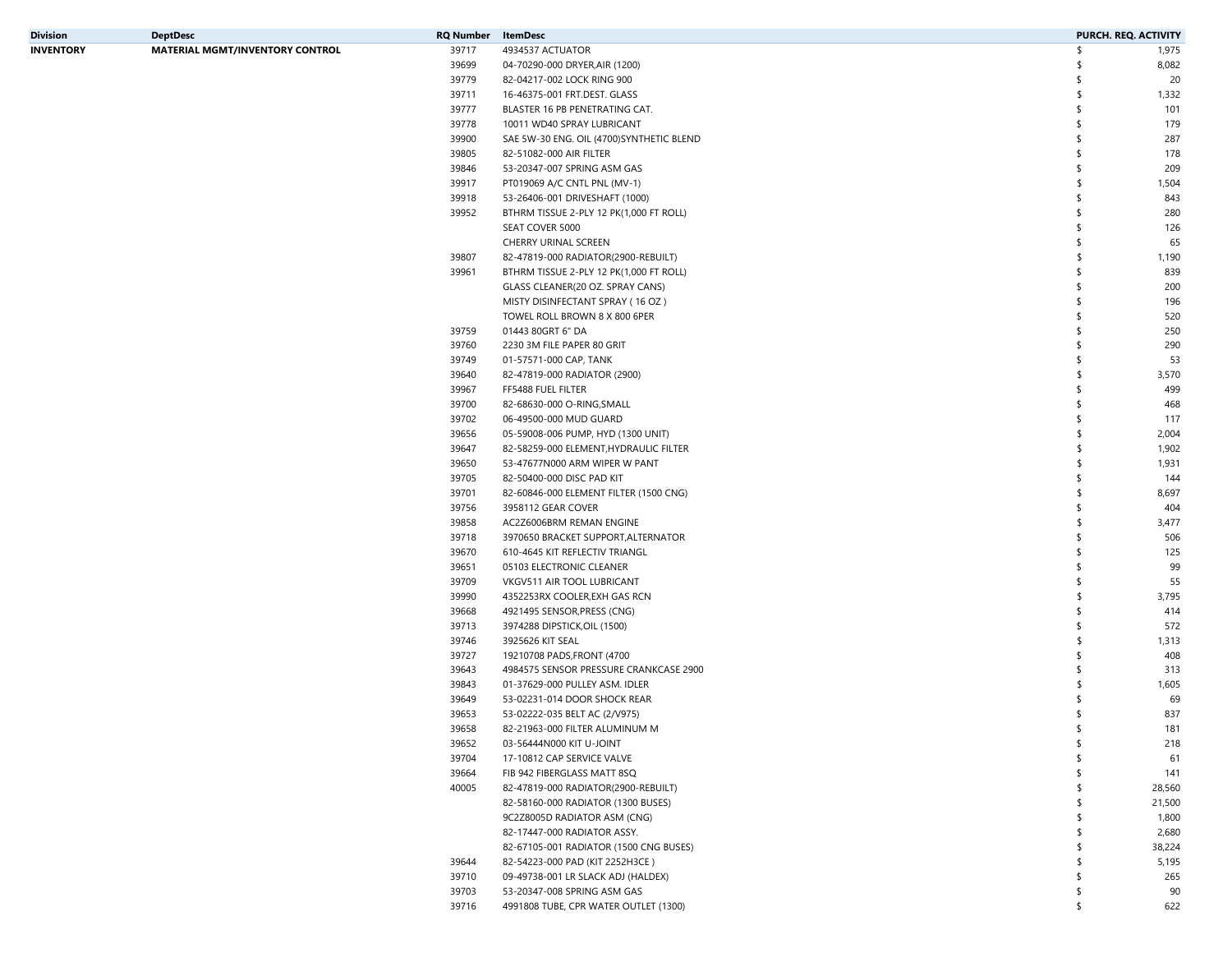| Division  | <b>DeptDesc</b>                        | RQ Number | ItemDesc                                  | PURCH. REQ. ACTIVITY |        |
|-----------|----------------------------------------|-----------|-------------------------------------------|----------------------|--------|
| INVENTORY | <b>MATERIAL MGMT/INVENTORY CONTROL</b> | 39717     | 4934537 ACTUATOR                          | \$                   | 1,975  |
|           |                                        | 39699     | 04-70290-000 DRYER, AIR (1200)            | \$                   | 8,082  |
|           |                                        | 39779     | 82-04217-002 LOCK RING 900                | \$                   | 20     |
|           |                                        | 39711     | 16-46375-001 FRT.DEST. GLASS              | \$                   | 1,332  |
|           |                                        | 39777     | BLASTER 16 PB PENETRATING CAT.            | \$                   | 101    |
|           |                                        | 39778     | 10011 WD40 SPRAY LUBRICANT                | \$                   | 179    |
|           |                                        | 39900     | SAE 5W-30 ENG. OIL (4700) SYNTHETIC BLEND | \$                   | 287    |
|           |                                        | 39805     | 82-51082-000 AIR FILTER                   | \$                   | 178    |
|           |                                        | 39846     | 53-20347-007 SPRING ASM GAS               | \$                   | 209    |
|           |                                        | 39917     | PT019069 A/C CNTL PNL (MV-1)              | \$                   | 1,504  |
|           |                                        | 39918     | 53-26406-001 DRIVESHAFT (1000)            | \$                   | 843    |
|           |                                        | 39952     | BTHRM TISSUE 2-PLY 12 PK(1,000 FT ROLL)   | \$                   | 280    |
|           |                                        |           |                                           | \$                   | 126    |
|           |                                        |           | SEAT COVER 5000<br>CHERRY URINAL SCREEN   | \$                   | 65     |
|           |                                        |           |                                           |                      |        |
|           |                                        | 39807     | 82-47819-000 RADIATOR(2900-REBUILT)       | \$                   | 1,190  |
|           |                                        | 39961     | BTHRM TISSUE 2-PLY 12 PK(1,000 FT ROLL)   | \$                   | 839    |
|           |                                        |           | GLASS CLEANER(20 OZ. SPRAY CANS)          | \$                   | 200    |
|           |                                        |           | MISTY DISINFECTANT SPRAY (16 OZ)          | \$                   | 196    |
|           |                                        |           | TOWEL ROLL BROWN 8 X 800 6PER             | \$                   | 520    |
|           |                                        | 39759     | 01443 80GRT 6" DA                         | \$                   | 250    |
|           |                                        | 39760     | 2230 3M FILE PAPER 80 GRIT                | \$                   | 290    |
|           |                                        | 39749     | 01-57571-000 CAP, TANK                    | \$                   | 53     |
|           |                                        | 39640     | 82-47819-000 RADIATOR (2900)              | \$                   | 3,570  |
|           |                                        | 39967     | FF5488 FUEL FILTER                        | \$                   | 499    |
|           |                                        | 39700     | 82-68630-000 O-RING, SMALL                | \$                   | 468    |
|           |                                        | 39702     | 06-49500-000 MUD GUARD                    | \$                   | 117    |
|           |                                        | 39656     | 05-59008-006 PUMP, HYD (1300 UNIT)        | \$                   | 2,004  |
|           |                                        | 39647     | 82-58259-000 ELEMENT, HYDRAULIC FILTER    | \$                   | 1,902  |
|           |                                        | 39650     | 53-47677N000 ARM WIPER W PANT             | \$                   | 1,931  |
|           |                                        | 39705     | 82-50400-000 DISC PAD KIT                 | \$                   | 144    |
|           |                                        | 39701     | 82-60846-000 ELEMENT FILTER (1500 CNG)    | \$                   | 8,697  |
|           |                                        | 39756     | 3958112 GEAR COVER                        | \$                   | 404    |
|           |                                        | 39858     | AC2Z6006BRM REMAN ENGINE                  | \$                   | 3,477  |
|           |                                        | 39718     | 3970650 BRACKET SUPPORT, ALTERNATOR       | \$                   | 506    |
|           |                                        | 39670     | 610-4645 KIT REFLECTIV TRIANGL            | \$                   | 125    |
|           |                                        | 39651     | 05103 ELECTRONIC CLEANER                  | \$                   | 99     |
|           |                                        | 39709     | VKGV511 AIR TOOL LUBRICANT                | \$                   | 55     |
|           |                                        | 39990     | 4352253RX COOLER, EXH GAS RCN             | \$                   | 3,795  |
|           |                                        | 39668     | 4921495 SENSOR, PRESS (CNG)               | \$                   | 414    |
|           |                                        | 39713     | 3974288 DIPSTICK, OIL (1500)              | \$                   | 572    |
|           |                                        | 39746     | 3925626 KIT SEAL                          | \$                   | 1,313  |
|           |                                        | 39727     | 19210708 PADS, FRONT (4700                | \$                   | 408    |
|           |                                        |           |                                           | \$                   |        |
|           |                                        | 39643     | 4984575 SENSOR PRESSURE CRANKCASE 2900    |                      | 313    |
|           |                                        | 39843     | 01-37629-000 PULLEY ASM. IDLER            | \$                   | 1,605  |
|           |                                        | 39649     | 53-02231-014 DOOR SHOCK REAR              |                      | 69     |
|           |                                        | 39653     | 53-02222-035 BELT AC (2/V975)             | \$                   | 837    |
|           |                                        | 39658     | 82-21963-000 FILTER ALUMINUM M            | \$                   | 181    |
|           |                                        | 39652     | 03-56444N000 KIT U-JOINT                  | \$                   | 218    |
|           |                                        | 39704     | 17-10812 CAP SERVICE VALVE                |                      | 61     |
|           |                                        | 39664     | FIB 942 FIBERGLASS MATT 8SQ               |                      | 141    |
|           |                                        | 40005     | 82-47819-000 RADIATOR(2900-REBUILT)       |                      | 28,560 |
|           |                                        |           | 82-58160-000 RADIATOR (1300 BUSES)        |                      | 21,500 |
|           |                                        |           | 9C2Z8005D RADIATOR ASM (CNG)              |                      | 1,800  |
|           |                                        |           | 82-17447-000 RADIATOR ASSY.               |                      | 2,680  |
|           |                                        |           | 82-67105-001 RADIATOR (1500 CNG BUSES)    |                      | 38,224 |
|           |                                        | 39644     | 82-54223-000 PAD (KIT 2252H3CE)           |                      | 5,195  |
|           |                                        | 39710     | 09-49738-001 LR SLACK ADJ (HALDEX)        |                      | 265    |
|           |                                        | 39703     | 53-20347-008 SPRING ASM GAS               | \$                   | 90     |
|           |                                        | 39716     | 4991808 TUBE, CPR WATER OUTLET (1300)     | \$                   | 622    |
|           |                                        |           |                                           |                      |        |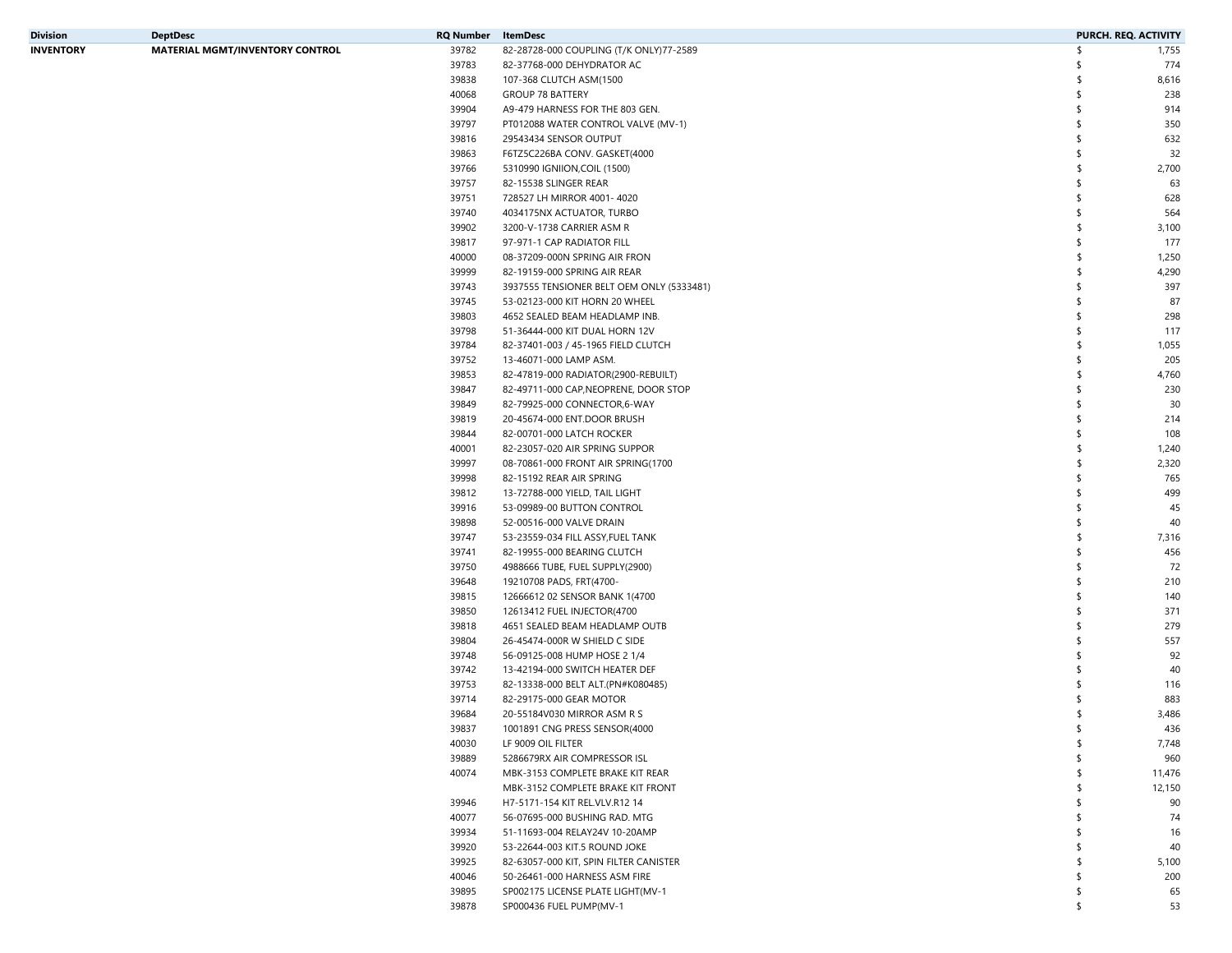| Division  | <b>DeptDesc</b>                        | RQ Number | ItemDesc                                  | PURCH. REQ. ACTIVITY |        |
|-----------|----------------------------------------|-----------|-------------------------------------------|----------------------|--------|
| INVENTORY | <b>MATERIAL MGMT/INVENTORY CONTROL</b> | 39782     | 82-28728-000 COUPLING (T/K ONLY)77-2589   | \$                   | 1,755  |
|           |                                        | 39783     | 82-37768-000 DEHYDRATOR AC                | \$                   | 774    |
|           |                                        | 39838     | 107-368 CLUTCH ASM(1500                   | \$                   | 8,616  |
|           |                                        | 40068     | <b>GROUP 78 BATTERY</b>                   |                      | 238    |
|           |                                        | 39904     | A9-479 HARNESS FOR THE 803 GEN.           | \$                   | 914    |
|           |                                        | 39797     | PT012088 WATER CONTROL VALVE (MV-1)       |                      | 350    |
|           |                                        | 39816     | 29543434 SENSOR OUTPUT                    |                      | 632    |
|           |                                        | 39863     | F6TZ5C226BA CONV. GASKET(4000             |                      | 32     |
|           |                                        | 39766     | 5310990 IGNIION, COIL (1500)              | \$                   | 2,700  |
|           |                                        | 39757     | 82-15538 SLINGER REAR                     |                      | 63     |
|           |                                        | 39751     | 728527 LH MIRROR 4001-4020                |                      | 628    |
|           |                                        |           |                                           |                      |        |
|           |                                        | 39740     | 4034175NX ACTUATOR, TURBO                 |                      | 564    |
|           |                                        | 39902     | 3200-V-1738 CARRIER ASM R                 |                      | 3,100  |
|           |                                        | 39817     | 97-971-1 CAP RADIATOR FILL                |                      | 177    |
|           |                                        | 40000     | 08-37209-000N SPRING AIR FRON             | \$                   | 1,250  |
|           |                                        | 39999     | 82-19159-000 SPRING AIR REAR              | \$                   | 4,290  |
|           |                                        | 39743     | 3937555 TENSIONER BELT OEM ONLY (5333481) |                      | 397    |
|           |                                        | 39745     | 53-02123-000 KIT HORN 20 WHEEL            |                      | 87     |
|           |                                        | 39803     | 4652 SEALED BEAM HEADLAMP INB.            |                      | 298    |
|           |                                        | 39798     | 51-36444-000 KIT DUAL HORN 12V            |                      | 117    |
|           |                                        | 39784     | 82-37401-003 / 45-1965 FIELD CLUTCH       | \$                   | 1,055  |
|           |                                        | 39752     | 13-46071-000 LAMP ASM.                    |                      | 205    |
|           |                                        | 39853     | 82-47819-000 RADIATOR(2900-REBUILT)       | \$                   | 4,760  |
|           |                                        | 39847     | 82-49711-000 CAP, NEOPRENE, DOOR STOP     | \$                   | 230    |
|           |                                        | 39849     | 82-79925-000 CONNECTOR,6-WAY              |                      | 30     |
|           |                                        | 39819     | 20-45674-000 ENT.DOOR BRUSH               |                      | 214    |
|           |                                        | 39844     | 82-00701-000 LATCH ROCKER                 |                      | 108    |
|           |                                        | 40001     | 82-23057-020 AIR SPRING SUPPOR            | \$                   | 1,240  |
|           |                                        | 39997     | 08-70861-000 FRONT AIR SPRING(1700        | \$                   | 2,320  |
|           |                                        | 39998     | 82-15192 REAR AIR SPRING                  |                      | 765    |
|           |                                        | 39812     | 13-72788-000 YIELD, TAIL LIGHT            |                      | 499    |
|           |                                        | 39916     | 53-09989-00 BUTTON CONTROL                |                      | 45     |
|           |                                        | 39898     | 52-00516-000 VALVE DRAIN                  |                      | 40     |
|           |                                        | 39747     | 53-23559-034 FILL ASSY, FUEL TANK         | \$                   | 7,316  |
|           |                                        | 39741     |                                           | \$                   | 456    |
|           |                                        |           | 82-19955-000 BEARING CLUTCH               |                      |        |
|           |                                        | 39750     | 4988666 TUBE, FUEL SUPPLY(2900)           |                      | 72     |
|           |                                        | 39648     | 19210708 PADS, FRT(4700-                  |                      | 210    |
|           |                                        | 39815     | 12666612 02 SENSOR BANK 1(4700            |                      | 140    |
|           |                                        | 39850     | 12613412 FUEL INJECTOR(4700               |                      | 371    |
|           |                                        | 39818     | 4651 SEALED BEAM HEADLAMP OUTB            |                      | 279    |
|           |                                        | 39804     | 26-45474-000R W SHIELD C SIDE             |                      | 557    |
|           |                                        | 39748     | 56-09125-008 HUMP HOSE 2 1/4              |                      | 92     |
|           |                                        | 39742     | 13-42194-000 SWITCH HEATER DEF            |                      | 40     |
|           |                                        | 39753     | 82-13338-000 BELT ALT.(PN#K080485)        |                      | 116    |
|           |                                        | 39714     | 82-29175-000 GEAR MOTOR                   |                      | 883    |
|           |                                        | 39684     | 20-55184V030 MIRROR ASM R S               | S                    | 3,486  |
|           |                                        | 39837     | 1001891 CNG PRESS SENSOR(4000             |                      | 436    |
|           |                                        | 40030     | LF 9009 OIL FILTER                        | \$                   | 7,748  |
|           |                                        | 39889     | 5286679RX AIR COMPRESSOR ISL              |                      | 960    |
|           |                                        | 40074     | MBK-3153 COMPLETE BRAKE KIT REAR          |                      | 11,476 |
|           |                                        |           | MBK-3152 COMPLETE BRAKE KIT FRONT         |                      | 12,150 |
|           |                                        | 39946     | H7-5171-154 KIT REL.VLV.R12 14            |                      | 90     |
|           |                                        | 40077     | 56-07695-000 BUSHING RAD. MTG             |                      | 74     |
|           |                                        | 39934     | 51-11693-004 RELAY24V 10-20AMP            |                      | 16     |
|           |                                        | 39920     | 53-22644-003 KIT.5 ROUND JOKE             |                      | 40     |
|           |                                        |           |                                           |                      |        |
|           |                                        | 39925     | 82-63057-000 KIT, SPIN FILTER CANISTER    |                      | 5,100  |
|           |                                        | 40046     | 50-26461-000 HARNESS ASM FIRE             |                      | 200    |
|           |                                        | 39895     | SP002175 LICENSE PLATE LIGHT(MV-1         |                      | 65     |
|           |                                        | 39878     | SP000436 FUEL PUMP(MV-1                   | \$                   | 53     |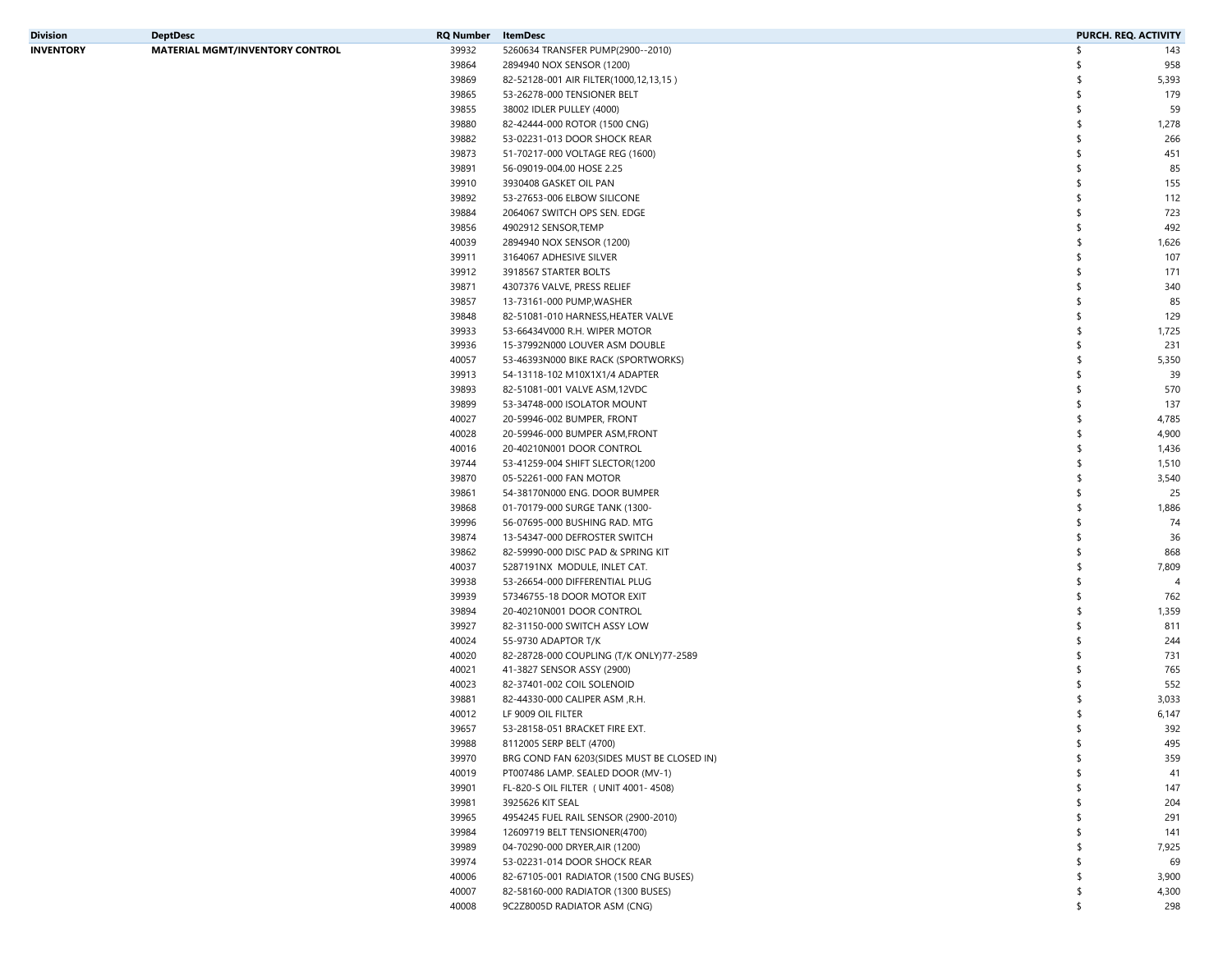| Division  | <b>DeptDesc</b>                        | RQ Number | ItemDesc                                   | PURCH. REQ. ACTIVITY |                |
|-----------|----------------------------------------|-----------|--------------------------------------------|----------------------|----------------|
| INVENTORY | <b>MATERIAL MGMT/INVENTORY CONTROL</b> | 39932     | 5260634 TRANSFER PUMP(2900--2010)          | \$                   | 143            |
|           |                                        | 39864     | 2894940 NOX SENSOR (1200)                  | S                    | 958            |
|           |                                        | 39869     | 82-52128-001 AIR FILTER(1000,12,13,15)     |                      | 5,393          |
|           |                                        | 39865     | 53-26278-000 TENSIONER BELT                |                      | 179            |
|           |                                        | 39855     | 38002 IDLER PULLEY (4000)                  | \$                   | 59             |
|           |                                        | 39880     | 82-42444-000 ROTOR (1500 CNG)              |                      | 1,278          |
|           |                                        | 39882     | 53-02231-013 DOOR SHOCK REAR               | \$.                  | 266            |
|           |                                        | 39873     | 51-70217-000 VOLTAGE REG (1600)            |                      | 451            |
|           |                                        | 39891     | 56-09019-004.00 HOSE 2.25                  |                      | 85             |
|           |                                        | 39910     | 3930408 GASKET OIL PAN                     |                      | 155            |
|           |                                        | 39892     | 53-27653-006 ELBOW SILICONE                |                      | 112            |
|           |                                        | 39884     | 2064067 SWITCH OPS SEN. EDGE               | \$.                  | 723            |
|           |                                        | 39856     | 4902912 SENSOR, TEMP                       |                      | 492            |
|           |                                        | 40039     | 2894940 NOX SENSOR (1200)                  | \$                   | 1,626          |
|           |                                        | 39911     | 3164067 ADHESIVE SILVER                    | \$                   | 107            |
|           |                                        | 39912     | 3918567 STARTER BOLTS                      |                      | 171            |
|           |                                        | 39871     | 4307376 VALVE, PRESS RELIEF                | \$.                  | 340            |
|           |                                        | 39857     | 13-73161-000 PUMP, WASHER                  |                      | 85             |
|           |                                        |           |                                            | \$.                  | 129            |
|           |                                        | 39848     | 82-51081-010 HARNESS, HEATER VALVE         |                      |                |
|           |                                        | 39933     | 53-66434V000 R.H. WIPER MOTOR              | -S                   | 1,725          |
|           |                                        | 39936     | 15-37992N000 LOUVER ASM DOUBLE             | \$                   | 231            |
|           |                                        | 40057     | 53-46393N000 BIKE RACK (SPORTWORKS)        |                      | 5,350          |
|           |                                        | 39913     | 54-13118-102 M10X1X1/4 ADAPTER             | \$.                  | 39             |
|           |                                        | 39893     | 82-51081-001 VALVE ASM,12VDC               | \$                   | 570            |
|           |                                        | 39899     | 53-34748-000 ISOLATOR MOUNT                |                      | 137            |
|           |                                        | 40027     | 20-59946-002 BUMPER, FRONT                 | \$                   | 4,785          |
|           |                                        | 40028     | 20-59946-000 BUMPER ASM, FRONT             | -S                   | 4,900          |
|           |                                        | 40016     | 20-40210N001 DOOR CONTROL                  |                      | 1,436          |
|           |                                        | 39744     | 53-41259-004 SHIFT SLECTOR(1200            | -S                   | 1,510          |
|           |                                        | 39870     | 05-52261-000 FAN MOTOR                     |                      | 3,540          |
|           |                                        | 39861     | 54-38170N000 ENG. DOOR BUMPER              |                      | 25             |
|           |                                        | 39868     | 01-70179-000 SURGE TANK (1300-             |                      | 1,886          |
|           |                                        | 39996     | 56-07695-000 BUSHING RAD. MTG              | \$                   | 74             |
|           |                                        | 39874     | 13-54347-000 DEFROSTER SWITCH              | \$                   | 36             |
|           |                                        | 39862     | 82-59990-000 DISC PAD & SPRING KIT         | \$                   | 868            |
|           |                                        | 40037     | 5287191NX MODULE, INLET CAT.               | \$                   | 7,809          |
|           |                                        | 39938     | 53-26654-000 DIFFERENTIAL PLUG             | \$.                  | $\overline{4}$ |
|           |                                        | 39939     | 57346755-18 DOOR MOTOR EXIT                | \$.                  | 762            |
|           |                                        | 39894     | 20-40210N001 DOOR CONTROL                  | \$                   | 1,359          |
|           |                                        | 39927     | 82-31150-000 SWITCH ASSY LOW               |                      | 811            |
|           |                                        | 40024     | 55-9730 ADAPTOR T/K                        |                      | 244            |
|           |                                        | 40020     | 82-28728-000 COUPLING (T/K ONLY)77-2589    |                      | 731            |
|           |                                        | 40021     | 41-3827 SENSOR ASSY (2900)                 |                      | 765            |
|           |                                        | 40023     | 82-37401-002 COIL SOLENOID                 |                      | 552            |
|           |                                        | 39881     | 82-44330-000 CALIPER ASM , R.H.            | -S                   | 3,033          |
|           |                                        | 40012     | LF 9009 OIL FILTER                         | \$                   | 6,147          |
|           |                                        | 39657     | 53-28158-051 BRACKET FIRE EXT.             | ≮                    | 392            |
|           |                                        | 39988     | 8112005 SERP BELT (4700)                   | \$                   | 495            |
|           |                                        | 39970     | BRG COND FAN 6203(SIDES MUST BE CLOSED IN) |                      | 359            |
|           |                                        | 40019     | PT007486 LAMP. SEALED DOOR (MV-1)          |                      | 41             |
|           |                                        | 39901     | FL-820-S OIL FILTER ( UNIT 4001-4508)      |                      | 147            |
|           |                                        | 39981     | 3925626 KIT SEAL                           |                      | 204            |
|           |                                        | 39965     | 4954245 FUEL RAIL SENSOR (2900-2010)       |                      | 291            |
|           |                                        |           | 12609719 BELT TENSIONER(4700)              |                      |                |
|           |                                        | 39984     |                                            |                      | 141            |
|           |                                        | 39989     | 04-70290-000 DRYER, AIR (1200)             |                      | 7,925          |
|           |                                        | 39974     | 53-02231-014 DOOR SHOCK REAR               |                      | 69             |
|           |                                        | 40006     | 82-67105-001 RADIATOR (1500 CNG BUSES)     |                      | 3,900          |
|           |                                        | 40007     | 82-58160-000 RADIATOR (1300 BUSES)         | S                    | 4,300          |
|           |                                        | 40008     | 9C2Z8005D RADIATOR ASM (CNG)               | \$                   | 298            |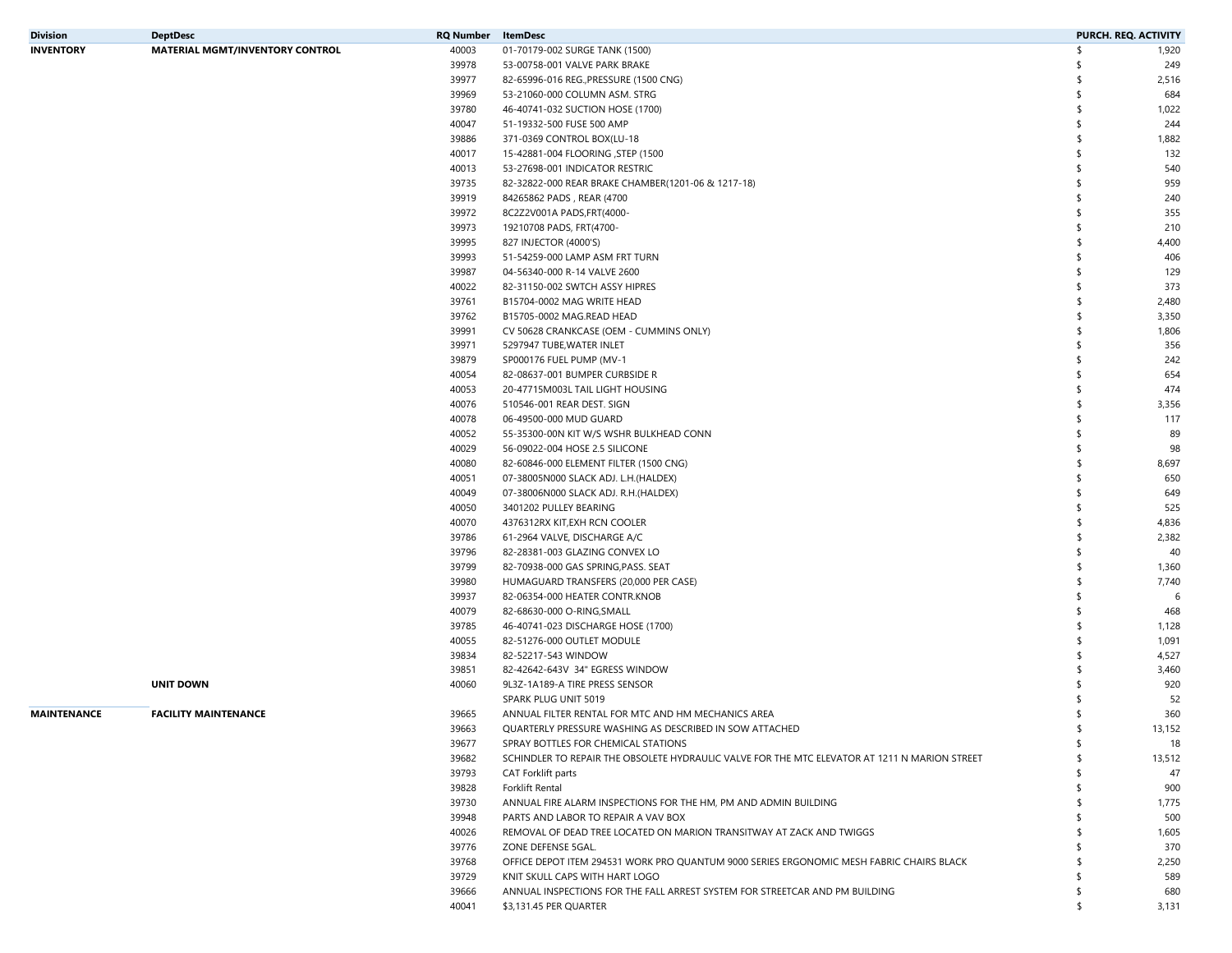| Division    | <b>DeptDesc</b>                        | RQ Number | ItemDesc                                                                                      | PURCH. REQ. ACTIVITY |        |
|-------------|----------------------------------------|-----------|-----------------------------------------------------------------------------------------------|----------------------|--------|
| INVENTORY   | <b>MATERIAL MGMT/INVENTORY CONTROL</b> | 40003     | 01-70179-002 SURGE TANK (1500)                                                                | \$                   | 1,920  |
|             |                                        | 39978     | 53-00758-001 VALVE PARK BRAKE                                                                 |                      | 249    |
|             |                                        | 39977     | 82-65996-016 REG., PRESSURE (1500 CNG)                                                        |                      | 2,516  |
|             |                                        | 39969     | 53-21060-000 COLUMN ASM. STRG                                                                 | \$                   | 684    |
|             |                                        | 39780     | 46-40741-032 SUCTION HOSE (1700)                                                              | \$                   | 1,022  |
|             |                                        | 40047     | 51-19332-500 FUSE 500 AMP                                                                     |                      | 244    |
|             |                                        | 39886     | 371-0369 CONTROL BOX(LU-18                                                                    | \$                   | 1,882  |
|             |                                        | 40017     | 15-42881-004 FLOORING , STEP (1500                                                            |                      | 132    |
|             |                                        | 40013     | 53-27698-001 INDICATOR RESTRIC                                                                |                      | 540    |
|             |                                        | 39735     | 82-32822-000 REAR BRAKE CHAMBER(1201-06 & 1217-18)                                            |                      | 959    |
|             |                                        | 39919     | 84265862 PADS, REAR (4700                                                                     |                      | 240    |
|             |                                        | 39972     | 8C2Z2V001A PADS, FRT(4000-                                                                    |                      | 355    |
|             |                                        | 39973     | 19210708 PADS, FRT(4700-                                                                      |                      | 210    |
|             |                                        | 39995     | 827 INJECTOR (4000'S)                                                                         |                      | 4,400  |
|             |                                        | 39993     | 51-54259-000 LAMP ASM FRT TURN                                                                |                      | 406    |
|             |                                        | 39987     | 04-56340-000 R-14 VALVE 2600                                                                  |                      | 129    |
|             |                                        | 40022     | 82-31150-002 SWTCH ASSY HIPRES                                                                |                      | 373    |
|             |                                        | 39761     | B15704-0002 MAG WRITE HEAD                                                                    |                      | 2,480  |
|             |                                        | 39762     | B15705-0002 MAG.READ HEAD                                                                     |                      | 3,350  |
|             |                                        | 39991     | CV 50628 CRANKCASE (OEM - CUMMINS ONLY)                                                       |                      | 1,806  |
|             |                                        | 39971     | 5297947 TUBE, WATER INLET                                                                     | \$                   | 356    |
|             |                                        | 39879     | SP000176 FUEL PUMP (MV-1                                                                      |                      | 242    |
|             |                                        | 40054     | 82-08637-001 BUMPER CURBSIDE R                                                                |                      | 654    |
|             |                                        | 40053     | 20-47715M003L TAIL LIGHT HOUSING                                                              |                      | 474    |
|             |                                        | 40076     | 510546-001 REAR DEST. SIGN                                                                    |                      | 3,356  |
|             |                                        | 40078     | 06-49500-000 MUD GUARD                                                                        |                      | 117    |
|             |                                        | 40052     | 55-35300-00N KIT W/S WSHR BULKHEAD CONN                                                       |                      | 89     |
|             |                                        | 40029     | 56-09022-004 HOSE 2.5 SILICONE                                                                |                      | 98     |
|             |                                        | 40080     | 82-60846-000 ELEMENT FILTER (1500 CNG)                                                        |                      | 8,697  |
|             |                                        | 40051     | 07-38005N000 SLACK ADJ. L.H.(HALDEX)                                                          |                      | 650    |
|             |                                        | 40049     | 07-38006N000 SLACK ADJ. R.H.(HALDEX)                                                          |                      | 649    |
|             |                                        | 40050     | 3401202 PULLEY BEARING                                                                        |                      | 525    |
|             |                                        | 40070     | 4376312RX KIT, EXH RCN COOLER                                                                 |                      | 4,836  |
|             |                                        | 39786     | 61-2964 VALVE, DISCHARGE A/C                                                                  | \$                   | 2,382  |
|             |                                        | 39796     | 82-28381-003 GLAZING CONVEX LO                                                                | \$                   | 40     |
|             |                                        | 39799     | 82-70938-000 GAS SPRING, PASS. SEAT                                                           |                      | 1,360  |
|             |                                        | 39980     | HUMAGUARD TRANSFERS (20,000 PER CASE)                                                         |                      | 7,740  |
|             |                                        | 39937     | 82-06354-000 HEATER CONTR.KNOB                                                                |                      | 6      |
|             |                                        | 40079     | 82-68630-000 O-RING, SMALL                                                                    |                      | 468    |
|             |                                        | 39785     | 46-40741-023 DISCHARGE HOSE (1700)                                                            |                      | 1,128  |
|             |                                        | 40055     | 82-51276-000 OUTLET MODULE                                                                    |                      | 1,091  |
|             |                                        | 39834     | 82-52217-543 WINDOW                                                                           |                      | 4,527  |
|             |                                        | 39851     | 82-42642-643V 34" EGRESS WINDOW                                                               |                      | 3,460  |
|             | <b>UNIT DOWN</b>                       | 40060     | 9L3Z-1A189-A TIRE PRESS SENSOR                                                                |                      | 920    |
|             |                                        |           | SPARK PLUG UNIT 5019                                                                          |                      | 52     |
| MAINTENANCE | <b>FACILITY MAINTENANCE</b>            | 39665     | ANNUAL FILTER RENTAL FOR MTC AND HM MECHANICS AREA                                            | S                    | 360    |
|             |                                        | 39663     | QUARTERLY PRESSURE WASHING AS DESCRIBED IN SOW ATTACHED                                       |                      | 13,152 |
|             |                                        | 39677     | SPRAY BOTTLES FOR CHEMICAL STATIONS                                                           | \$                   | 18     |
|             |                                        | 39682     | SCHINDLER TO REPAIR THE OBSOLETE HYDRAULIC VALVE FOR THE MTC ELEVATOR AT 1211 N MARION STREET |                      | 13,512 |
|             |                                        | 39793     | CAT Forklift parts                                                                            |                      | 47     |
|             |                                        | 39828     | Forklift Rental                                                                               |                      | 900    |
|             |                                        | 39730     | ANNUAL FIRE ALARM INSPECTIONS FOR THE HM, PM AND ADMIN BUILDING                               |                      | 1,775  |
|             |                                        | 39948     | PARTS AND LABOR TO REPAIR A VAV BOX                                                           |                      | 500    |
|             |                                        | 40026     | REMOVAL OF DEAD TREE LOCATED ON MARION TRANSITWAY AT ZACK AND TWIGGS                          |                      | 1,605  |
|             |                                        | 39776     | ZONE DEFENSE 5GAL.                                                                            |                      | 370    |
|             |                                        | 39768     | OFFICE DEPOT ITEM 294531 WORK PRO QUANTUM 9000 SERIES ERGONOMIC MESH FABRIC CHAIRS BLACK      |                      | 2,250  |
|             |                                        | 39729     | KNIT SKULL CAPS WITH HART LOGO                                                                |                      | 589    |
|             |                                        | 39666     | ANNUAL INSPECTIONS FOR THE FALL ARREST SYSTEM FOR STREETCAR AND PM BUILDING                   | S                    | 680    |
|             |                                        | 40041     | \$3,131.45 PER QUARTER                                                                        | \$                   | 3,131  |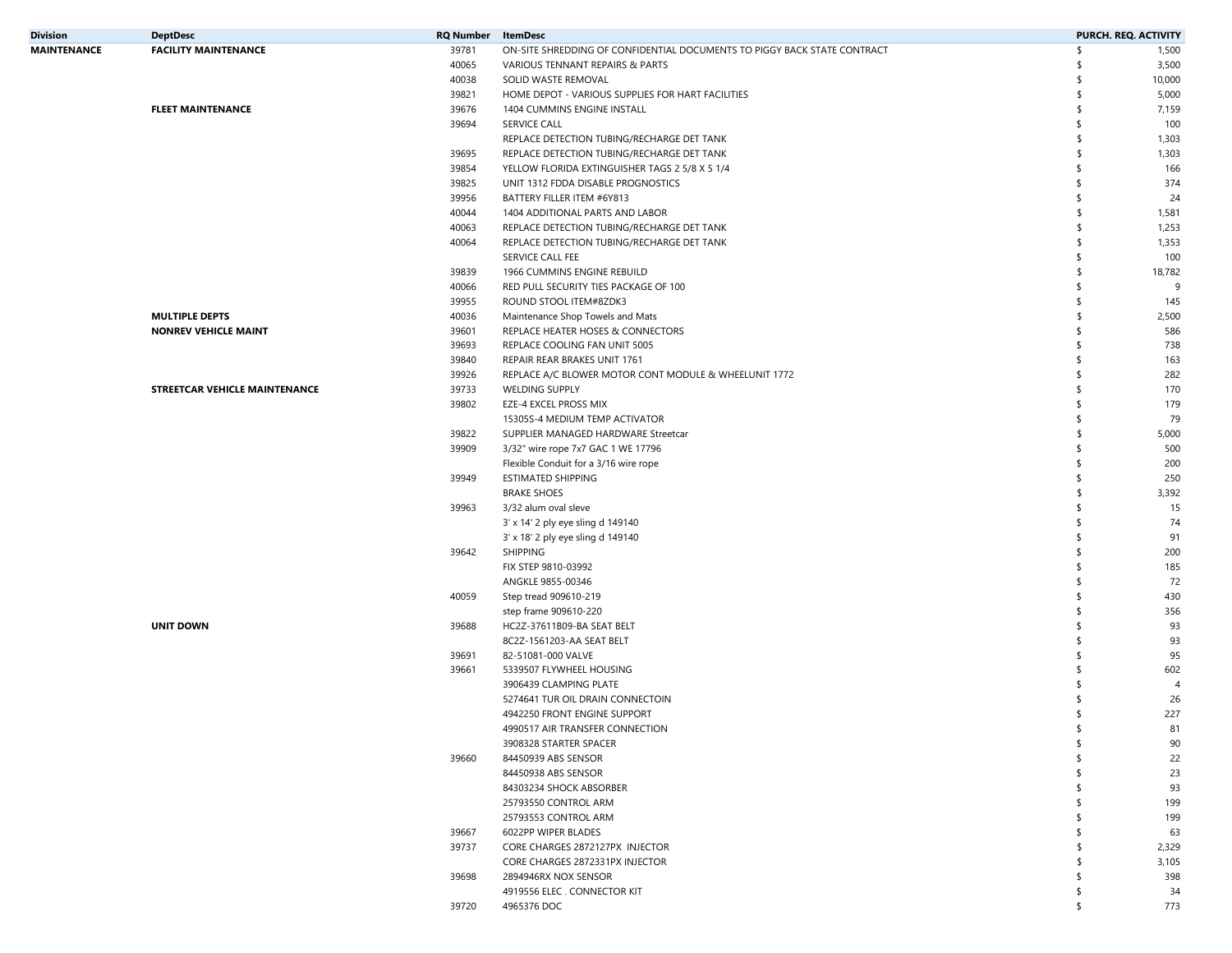| Division    | <b>DeptDesc</b>               | <b>RQ Number</b> | <b>ItemDesc</b>                                                          | PURCH. REQ. ACTIVITY |                |
|-------------|-------------------------------|------------------|--------------------------------------------------------------------------|----------------------|----------------|
| MAINTENANCE | <b>FACILITY MAINTENANCE</b>   | 39781            | ON-SITE SHREDDING OF CONFIDENTIAL DOCUMENTS TO PIGGY BACK STATE CONTRACT | \$                   | 1,500          |
|             |                               | 40065            | VARIOUS TENNANT REPAIRS & PARTS                                          | S                    | 3,500          |
|             |                               | 40038            | SOLID WASTE REMOVAL                                                      | \$                   | 10,000         |
|             |                               | 39821            | HOME DEPOT - VARIOUS SUPPLIES FOR HART FACILITIES                        | \$                   | 5,000          |
|             | <b>FLEET MAINTENANCE</b>      | 39676            | 1404 CUMMINS ENGINE INSTALL                                              | \$                   | 7,159          |
|             |                               | 39694            | <b>SERVICE CALL</b>                                                      | \$                   | 100            |
|             |                               |                  | REPLACE DETECTION TUBING/RECHARGE DET TANK                               | \$                   | 1,303          |
|             |                               | 39695            | REPLACE DETECTION TUBING/RECHARGE DET TANK                               | \$                   | 1,303          |
|             |                               | 39854            | YELLOW FLORIDA EXTINGUISHER TAGS 2 5/8 X 5 1/4                           | \$                   | 166            |
|             |                               | 39825            | UNIT 1312 FDDA DISABLE PROGNOSTICS                                       | \$                   | 374            |
|             |                               | 39956            | BATTERY FILLER ITEM #6Y813                                               | \$                   | 24             |
|             |                               | 40044            | 1404 ADDITIONAL PARTS AND LABOR                                          | \$                   | 1,581          |
|             |                               | 40063            | REPLACE DETECTION TUBING/RECHARGE DET TANK                               | \$                   | 1,253          |
|             |                               | 40064            | REPLACE DETECTION TUBING/RECHARGE DET TANK                               | \$                   | 1,353          |
|             |                               |                  | SERVICE CALL FEE                                                         | \$                   | 100            |
|             |                               | 39839            | 1966 CUMMINS ENGINE REBUILD                                              | \$                   | 18,782         |
|             |                               | 40066            | RED PULL SECURITY TIES PACKAGE OF 100                                    | \$                   |                |
|             |                               | 39955            | ROUND STOOL ITEM#8ZDK3                                                   | \$                   | 145            |
|             | <b>MULTIPLE DEPTS</b>         | 40036            |                                                                          | \$                   | 2,500          |
|             | <b>NONREV VEHICLE MAINT</b>   | 39601            | Maintenance Shop Towels and Mats<br>REPLACE HEATER HOSES & CONNECTORS    | \$                   | 586            |
|             |                               | 39693            | REPLACE COOLING FAN UNIT 5005                                            | \$                   | 738            |
|             |                               |                  |                                                                          |                      |                |
|             |                               | 39840            | REPAIR REAR BRAKES UNIT 1761                                             | \$                   | 163            |
|             |                               | 39926            | REPLACE A/C BLOWER MOTOR CONT MODULE & WHEELUNIT 1772                    | \$                   | 282            |
|             | STREETCAR VEHICLE MAINTENANCE | 39733            | <b>WELDING SUPPLY</b>                                                    | \$                   | 170            |
|             |                               | 39802            | <b>EZE-4 EXCEL PROSS MIX</b>                                             | \$                   | 179            |
|             |                               |                  | 15305S-4 MEDIUM TEMP ACTIVATOR                                           | \$                   | 79             |
|             |                               | 39822            | SUPPLIER MANAGED HARDWARE Streetcar                                      | \$                   | 5,000          |
|             |                               | 39909            | 3/32" wire rope 7x7 GAC 1 WE 17796                                       | \$                   | 500            |
|             |                               |                  | Flexible Conduit for a 3/16 wire rope                                    | \$                   | 200            |
|             |                               | 39949            | <b>ESTIMATED SHIPPING</b>                                                | \$                   | 250            |
|             |                               |                  | <b>BRAKE SHOES</b>                                                       | \$                   | 3,392          |
|             |                               | 39963            | 3/32 alum oval sleve                                                     | \$                   | 15             |
|             |                               |                  | 3' x 14' 2 ply eye sling d 149140                                        | \$                   | 74             |
|             |                               |                  | 3' x 18' 2 ply eye sling d 149140                                        | \$                   | 91             |
|             |                               | 39642            | SHIPPING                                                                 | \$                   | 200            |
|             |                               |                  | FIX STEP 9810-03992                                                      | \$                   | 185            |
|             |                               |                  | ANGKLE 9855-00346                                                        | \$                   | 72             |
|             |                               | 40059            | Step tread 909610-219                                                    | \$                   | 430            |
|             |                               |                  | step frame 909610-220                                                    | \$                   | 356            |
|             | <b>UNIT DOWN</b>              | 39688            | HC2Z-37611B09-BA SEAT BELT                                               | \$                   | 93             |
|             |                               |                  | 8C2Z-1561203-AA SEAT BELT                                                | \$                   | 93             |
|             |                               | 39691            | 82-51081-000 VALVE                                                       | \$                   | 95             |
|             |                               | 39661            | 5339507 FLYWHEEL HOUSING                                                 | \$                   | 602            |
|             |                               |                  | 3906439 CLAMPING PLATE                                                   | \$                   | $\overline{4}$ |
|             |                               |                  | 5274641 TUR OIL DRAIN CONNECTOIN                                         |                      | 26             |
|             |                               |                  | 4942250 FRONT ENGINE SUPPORT                                             | S                    | 227            |
|             |                               |                  | 4990517 AIR TRANSFER CONNECTION                                          |                      | 81             |
|             |                               |                  | 3908328 STARTER SPACER                                                   | \$                   | 90             |
|             |                               | 39660            | 84450939 ABS SENSOR                                                      | \$                   | 22             |
|             |                               |                  | 84450938 ABS SENSOR                                                      | \$                   | 23             |
|             |                               |                  | 84303234 SHOCK ABSORBER                                                  | \$                   | 93             |
|             |                               |                  | 25793550 CONTROL ARM                                                     |                      | 199            |
|             |                               |                  | 25793553 CONTROL ARM                                                     |                      | 199            |
|             |                               | 39667            | 6022PP WIPER BLADES                                                      | S                    | 63             |
|             |                               | 39737            | CORE CHARGES 2872127PX INJECTOR                                          | \$                   | 2,329          |
|             |                               |                  | CORE CHARGES 2872331PX INJECTOR                                          | \$                   | 3,105          |
|             |                               | 39698            | 2894946RX NOX SENSOR                                                     | \$                   | 398            |
|             |                               |                  | 4919556 ELEC. CONNECTOR KIT                                              | \$                   | 34             |
|             |                               | 39720            | 4965376 DOC                                                              | \$                   | 773            |
|             |                               |                  |                                                                          |                      |                |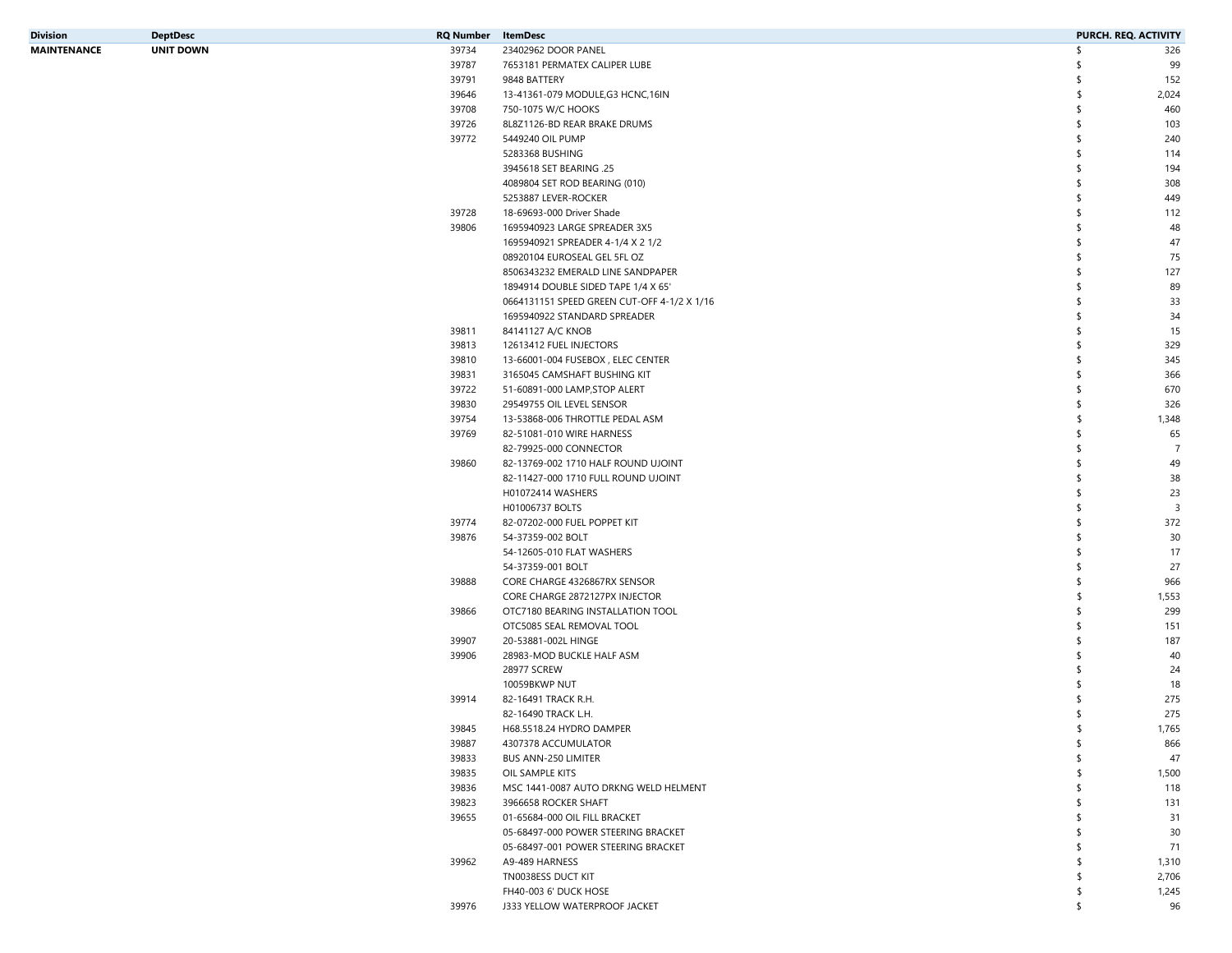| Division    | <b>DeptDesc</b>  | <b>RQ Number</b> ItemDesc |                                             | PURCH. REQ. ACTIVITY |                         |
|-------------|------------------|---------------------------|---------------------------------------------|----------------------|-------------------------|
| MAINTENANCE | <b>UNIT DOWN</b> | 39734                     | 23402962 DOOR PANEL                         | \$                   | 326                     |
|             |                  | 39787                     | 7653181 PERMATEX CALIPER LUBE               |                      | 99                      |
|             |                  | 39791                     | 9848 BATTERY                                |                      | 152                     |
|             |                  | 39646                     | 13-41361-079 MODULE, G3 HCNC, 16IN          |                      | 2,024                   |
|             |                  | 39708                     | 750-1075 W/C HOOKS                          |                      | 460                     |
|             |                  | 39726                     | 8L8Z1126-BD REAR BRAKE DRUMS                |                      | 103                     |
|             |                  | 39772                     | 5449240 OIL PUMP                            |                      | 240                     |
|             |                  |                           | 5283368 BUSHING                             |                      | 114                     |
|             |                  |                           | 3945618 SET BEARING .25                     |                      | 194                     |
|             |                  |                           | 4089804 SET ROD BEARING (010)               |                      | 308                     |
|             |                  |                           | 5253887 LEVER-ROCKER                        |                      | 449                     |
|             |                  | 39728                     | 18-69693-000 Driver Shade                   |                      | 112                     |
|             |                  | 39806                     | 1695940923 LARGE SPREADER 3X5               |                      | 48                      |
|             |                  |                           | 1695940921 SPREADER 4-1/4 X 2 1/2           |                      | 47                      |
|             |                  |                           |                                             |                      |                         |
|             |                  |                           | 08920104 EUROSEAL GEL 5FL OZ                |                      | 75                      |
|             |                  |                           | 8506343232 EMERALD LINE SANDPAPER           |                      | 127                     |
|             |                  |                           | 1894914 DOUBLE SIDED TAPE 1/4 X 65'         |                      | 89                      |
|             |                  |                           | 0664131151 SPEED GREEN CUT-OFF 4-1/2 X 1/16 |                      | 33                      |
|             |                  |                           | 1695940922 STANDARD SPREADER                |                      | 34                      |
|             |                  | 39811                     | 84141127 A/C KNOB                           |                      | 15                      |
|             |                  | 39813                     | 12613412 FUEL INJECTORS                     |                      | 329                     |
|             |                  | 39810                     | 13-66001-004 FUSEBOX, ELEC CENTER           |                      | 345                     |
|             |                  | 39831                     | 3165045 CAMSHAFT BUSHING KIT                |                      | 366                     |
|             |                  | 39722                     | 51-60891-000 LAMP, STOP ALERT               |                      | 670                     |
|             |                  | 39830                     | 29549755 OIL LEVEL SENSOR                   |                      | 326                     |
|             |                  | 39754                     | 13-53868-006 THROTTLE PEDAL ASM             |                      | 1,348                   |
|             |                  | 39769                     | 82-51081-010 WIRE HARNESS                   |                      | 65                      |
|             |                  |                           | 82-79925-000 CONNECTOR                      |                      | $\overline{7}$          |
|             |                  | 39860                     | 82-13769-002 1710 HALF ROUND UJOINT         |                      | 49                      |
|             |                  |                           | 82-11427-000 1710 FULL ROUND UJOINT         |                      | 38                      |
|             |                  |                           | H01072414 WASHERS                           |                      | 23                      |
|             |                  |                           | H01006737 BOLTS                             |                      | $\overline{\mathbf{3}}$ |
|             |                  | 39774                     | 82-07202-000 FUEL POPPET KIT                |                      | 372                     |
|             |                  | 39876                     | 54-37359-002 BOLT                           |                      | 30                      |
|             |                  |                           | 54-12605-010 FLAT WASHERS                   |                      | 17                      |
|             |                  |                           | 54-37359-001 BOLT                           |                      | 27                      |
|             |                  | 39888                     | CORE CHARGE 4326867RX SENSOR                | -S                   | 966                     |
|             |                  |                           |                                             |                      |                         |
|             |                  |                           | CORE CHARGE 2872127PX INJECTOR              |                      | 1,553                   |
|             |                  | 39866                     | OTC7180 BEARING INSTALLATION TOOL           |                      | 299                     |
|             |                  |                           | OTC5085 SEAL REMOVAL TOOL                   |                      | 151                     |
|             |                  | 39907                     | 20-53881-002L HINGE                         |                      | 187                     |
|             |                  | 39906                     | 28983-MOD BUCKLE HALF ASM                   |                      | 40                      |
|             |                  |                           | 28977 SCREW                                 |                      | 24                      |
|             |                  |                           | 10059BKWP NUT                               |                      | 18                      |
|             |                  | 39914                     | 82-16491 TRACK R.H.                         |                      | 275                     |
|             |                  |                           | 82-16490 TRACK L.H.                         | S                    | 275                     |
|             |                  | 39845                     | H68.5518.24 HYDRO DAMPER                    |                      | 1,765                   |
|             |                  | 39887                     | 4307378 ACCUMULATOR                         | S                    | 866                     |
|             |                  | 39833                     | <b>BUS ANN-250 LIMITER</b>                  |                      | 47                      |
|             |                  | 39835                     | OIL SAMPLE KITS                             |                      | 1,500                   |
|             |                  | 39836                     | MSC 1441-0087 AUTO DRKNG WELD HELMENT       |                      | 118                     |
|             |                  | 39823                     | 3966658 ROCKER SHAFT                        |                      | 131                     |
|             |                  | 39655                     | 01-65684-000 OIL FILL BRACKET               |                      | 31                      |
|             |                  |                           | 05-68497-000 POWER STEERING BRACKET         |                      | 30                      |
|             |                  |                           | 05-68497-001 POWER STEERING BRACKET         |                      | 71                      |
|             |                  | 39962                     | A9-489 HARNESS                              |                      | 1,310                   |
|             |                  |                           | TN0038ESS DUCT KIT                          |                      | 2,706                   |
|             |                  |                           | FH40-003 6' DUCK HOSE                       |                      | 1,245                   |
|             |                  | 39976                     | J333 YELLOW WATERPROOF JACKET               |                      | 96                      |
|             |                  |                           |                                             |                      |                         |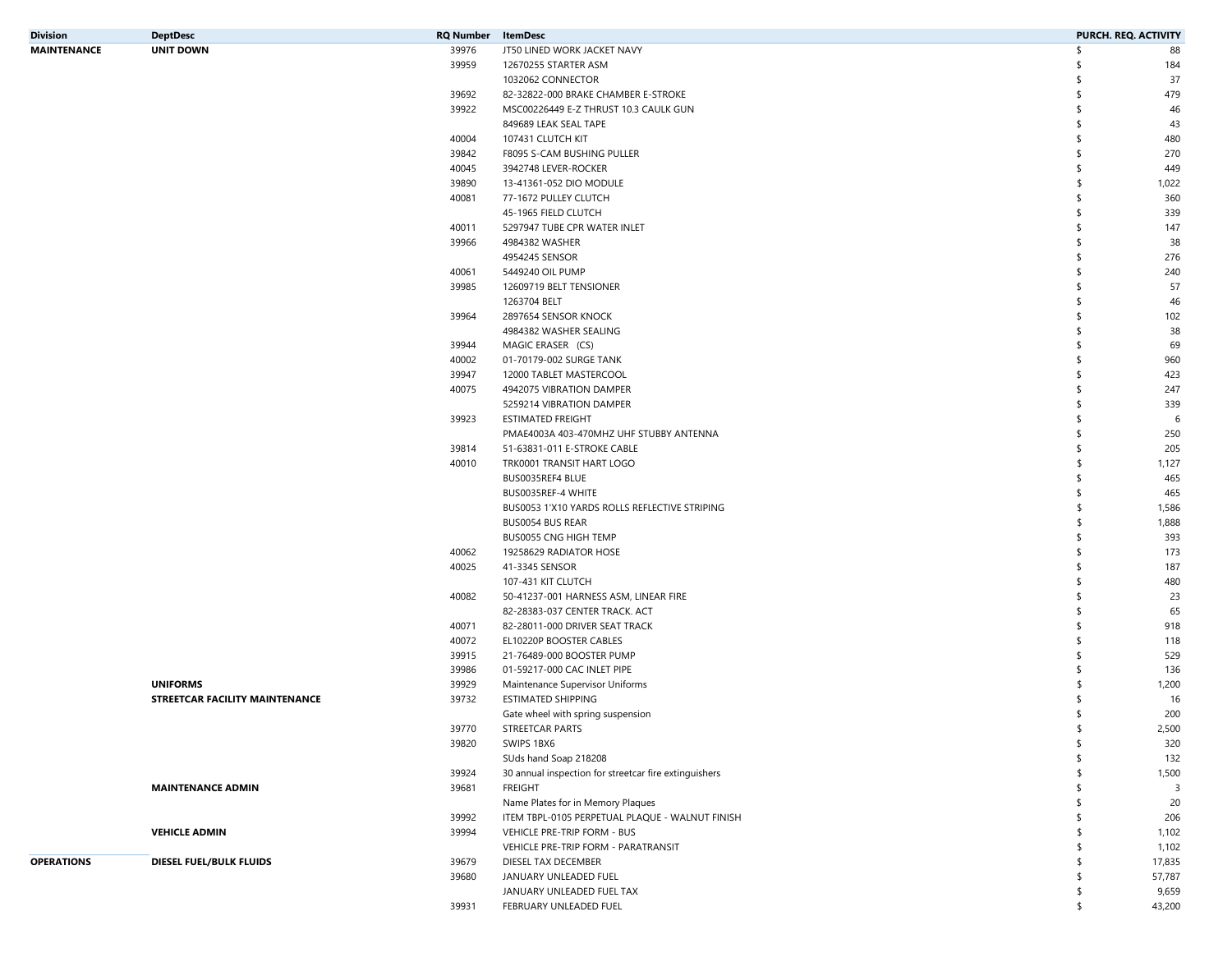| <b>Division</b>    | <b>DeptDesc</b>                | <b>RQ Number</b> ItemDesc |                                                       | PURCH. REQ. ACTIVITY |
|--------------------|--------------------------------|---------------------------|-------------------------------------------------------|----------------------|
| <b>MAINTENANCE</b> | <b>UNIT DOWN</b>               | 39976                     | JT50 LINED WORK JACKET NAVY                           | \$<br>88             |
|                    |                                | 39959                     | 12670255 STARTER ASM                                  | 184<br>S             |
|                    |                                |                           | 1032062 CONNECTOR                                     | 37<br>\$             |
|                    |                                | 39692                     | 82-32822-000 BRAKE CHAMBER E-STROKE                   | \$<br>479            |
|                    |                                | 39922                     | MSC00226449 E-Z THRUST 10.3 CAULK GUN                 | \$<br>46             |
|                    |                                |                           | 849689 LEAK SEAL TAPE                                 | 43<br>\$             |
|                    |                                | 40004                     | 107431 CLUTCH KIT                                     | \$<br>480            |
|                    |                                | 39842                     | F8095 S-CAM BUSHING PULLER                            | \$<br>270            |
|                    |                                | 40045                     | 3942748 LEVER-ROCKER                                  | \$<br>449            |
|                    |                                |                           |                                                       |                      |
|                    |                                | 39890                     | 13-41361-052 DIO MODULE                               | 1,022<br>\$          |
|                    |                                | 40081                     | 77-1672 PULLEY CLUTCH                                 | \$<br>360            |
|                    |                                |                           | 45-1965 FIELD CLUTCH                                  | \$<br>339            |
|                    |                                | 40011                     | 5297947 TUBE CPR WATER INLET                          | 147<br>\$            |
|                    |                                | 39966                     | 4984382 WASHER                                        | \$<br>38             |
|                    |                                |                           | 4954245 SENSOR                                        | \$<br>276            |
|                    |                                | 40061                     | 5449240 OIL PUMP                                      | 240<br>\$            |
|                    |                                | 39985                     | 12609719 BELT TENSIONER                               | \$<br>57             |
|                    |                                |                           | 1263704 BELT                                          | \$<br>46             |
|                    |                                | 39964                     | 2897654 SENSOR KNOCK                                  | 102<br>\$            |
|                    |                                |                           | 4984382 WASHER SEALING                                | \$<br>38             |
|                    |                                | 39944                     | MAGIC ERASER (CS)                                     | 69<br>\$             |
|                    |                                | 40002                     | 01-70179-002 SURGE TANK                               | \$<br>960            |
|                    |                                | 39947                     | 12000 TABLET MASTERCOOL                               | \$<br>423            |
|                    |                                |                           |                                                       |                      |
|                    |                                | 40075                     | 4942075 VIBRATION DAMPER                              | 247<br>\$            |
|                    |                                |                           | 5259214 VIBRATION DAMPER                              | 339<br>\$            |
|                    |                                | 39923                     | <b>ESTIMATED FREIGHT</b>                              | \$<br>6              |
|                    |                                |                           | PMAE4003A 403-470MHZ UHF STUBBY ANTENNA               | \$<br>250            |
|                    |                                | 39814                     | 51-63831-011 E-STROKE CABLE                           | \$<br>205            |
|                    |                                | 40010                     | TRK0001 TRANSIT HART LOGO                             | \$<br>1,127          |
|                    |                                |                           | BUS0035REF4 BLUE                                      | \$<br>465            |
|                    |                                |                           | BUS0035REF-4 WHITE                                    | \$<br>465            |
|                    |                                |                           | BUS0053 1'X10 YARDS ROLLS REFLECTIVE STRIPING         | \$<br>1,586          |
|                    |                                |                           | <b>BUS0054 BUS REAR</b>                               | \$<br>1,888          |
|                    |                                |                           | BUS0055 CNG HIGH TEMP                                 | \$<br>393            |
|                    |                                | 40062                     | 19258629 RADIATOR HOSE                                | 173<br>\$            |
|                    |                                | 40025                     | 41-3345 SENSOR                                        | \$<br>187            |
|                    |                                |                           | 107-431 KIT CLUTCH                                    | \$<br>480            |
|                    |                                | 40082                     | 50-41237-001 HARNESS ASM, LINEAR FIRE                 | \$<br>23             |
|                    |                                |                           |                                                       | \$                   |
|                    |                                |                           | 82-28383-037 CENTER TRACK. ACT                        | 65                   |
|                    |                                | 40071                     | 82-28011-000 DRIVER SEAT TRACK                        | \$<br>918            |
|                    |                                | 40072                     | EL10220P BOOSTER CABLES                               | \$<br>118            |
|                    |                                | 39915                     | 21-76489-000 BOOSTER PUMP                             | \$<br>529            |
|                    |                                | 39986                     | 01-59217-000 CAC INLET PIPE                           | \$<br>136            |
|                    | <b>UNIFORMS</b>                | 39929                     | Maintenance Supervisor Uniforms                       | 1,200<br>\$          |
|                    | STREETCAR FACILITY MAINTENANCE | 39732                     | <b>ESTIMATED SHIPPING</b>                             | 16<br>\$             |
|                    |                                |                           | Gate wheel with spring suspension                     | 200<br>\$            |
|                    |                                | 39770                     | STREETCAR PARTS                                       | 2,500                |
|                    |                                | 39820                     | SWIPS 1BX6                                            | \$<br>320            |
|                    |                                |                           | SUds hand Soap 218208                                 | 132<br>\$            |
|                    |                                | 39924                     | 30 annual inspection for streetcar fire extinguishers | 1,500<br>\$          |
|                    | <b>MAINTENANCE ADMIN</b>       | 39681                     | <b>FREIGHT</b>                                        | \$<br>3              |
|                    |                                |                           | Name Plates for in Memory Plaques                     | 20<br>\$             |
|                    |                                |                           |                                                       |                      |
|                    |                                | 39992                     | ITEM TBPL-0105 PERPETUAL PLAQUE - WALNUT FINISH       | 206<br>\$            |
|                    | <b>VEHICLE ADMIN</b>           | 39994                     | VEHICLE PRE-TRIP FORM - BUS                           | 1,102<br>\$          |
|                    |                                |                           | VEHICLE PRE-TRIP FORM - PARATRANSIT                   | 1,102<br>\$          |
| <b>OPERATIONS</b>  | DIESEL FUEL/BULK FLUIDS        | 39679                     | DIESEL TAX DECEMBER                                   | 17,835<br>\$         |
|                    |                                | 39680                     | JANUARY UNLEADED FUEL                                 | 57,787<br>\$         |
|                    |                                |                           | JANUARY UNLEADED FUEL TAX                             | \$<br>9,659          |
|                    |                                | 39931                     | FEBRUARY UNLEADED FUEL                                | \$<br>43,200         |